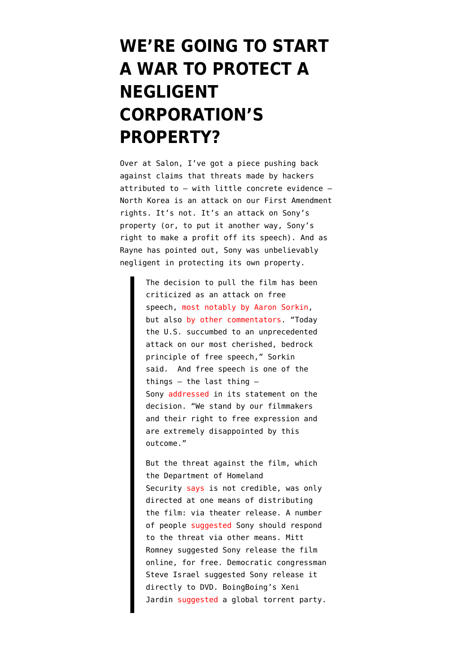## **[WE'RE GOING TO START](https://www.emptywheel.net/2014/12/19/were-going-to-start-a-war-to-protect-a-negligent-corporations-property/) [A WAR TO PROTECT A](https://www.emptywheel.net/2014/12/19/were-going-to-start-a-war-to-protect-a-negligent-corporations-property/) [NEGLIGENT](https://www.emptywheel.net/2014/12/19/were-going-to-start-a-war-to-protect-a-negligent-corporations-property/) [CORPORATION'S](https://www.emptywheel.net/2014/12/19/were-going-to-start-a-war-to-protect-a-negligent-corporations-property/) [PROPERTY?](https://www.emptywheel.net/2014/12/19/were-going-to-start-a-war-to-protect-a-negligent-corporations-property/)**

Over at Salon, [I've got a piece](http://www.salon.com/2014/12/19/sony_hackers_real_crime_why_its_not_an_assault_on_speech_but_something_worse/) pushing back against claims that threats made by hackers attributed to — with little concrete evidence — North Korea is an attack on our First Amendment rights. It's not. It's an attack on Sony's property (or, to put it another way, Sony's right to make a profit off its speech). And as Rayne has pointed out, Sony was unbelievably negligent in protecting its own property.

> The decision to pull the film has been criticized as an attack on free speech, [most notably by Aaron Sorkin,](https://deadline.com/2014/12/aaron-sorkin-sony-the-interview-free-speech-casualty-1201328788/) but also [by other commentators.](http://boingboing.net/2014/12/17/cowardly-u-s-theater-chains-r.html) "Today the U.S. succumbed to an unprecedented attack on our most cherished, bedrock principle of free speech," Sorkin said. And free speech is one of the things  $-$  the last thing  $-$ Sony [addressed](http://www.thewrap.com/sony-scraps-the-interview-release-we-have-decided-not-to-move-forward/) in its statement on the decision. "We stand by our filmmakers and their right to free expression and are extremely disappointed by this outcome."

But the threat against the film, which the Department of Homeland Security [says](http://www.politico.com/story/2014/12/dhs-no-credible-threat-to-sony-movie-launch-113618.html) is not credible, was only directed at one means of distributing the film: via theater release. A number of people [suggested](http://thehill.com/policy/cybersecurity/227521-house-dem-release-the-interview-on-dvd) Sony should respond to the threat via other means. Mitt Romney suggested Sony release the film online, for free. Democratic congressman Steve Israel suggested Sony release it directly to DVD. BoingBoing's Xeni Jardin [suggested](http://boingboing.net/2014/12/17/cowardly-u-s-theater-chains-r.html) a global torrent party.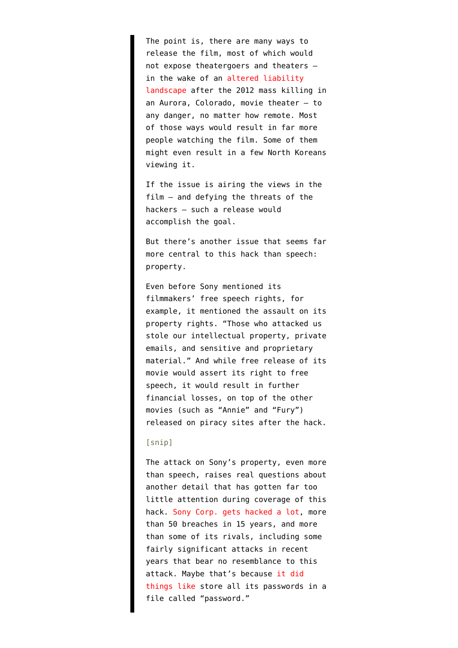The point is, there are many ways to release the film, most of which would not expose theatergoers and theaters in the wake of an [altered liability](http://www.denverpost.com/news/ci_26346801/federal-judge-rules-aurora-theater-shooting-was-foreseeable) [landscape](http://www.denverpost.com/news/ci_26346801/federal-judge-rules-aurora-theater-shooting-was-foreseeable) after the 2012 mass killing in an Aurora, Colorado, movie theater — to any danger, no matter how remote. Most of those ways would result in far more people watching the film. Some of them might even result in a few North Koreans viewing it.

If the issue is airing the views in the film — and defying the threats of the hackers — such a release would accomplish the goal.

But there's another issue that seems far more central to this hack than speech: property.

Even before Sony mentioned its filmmakers' free speech rights, for example, it mentioned the assault on its property rights. "Those who attacked us stole our intellectual property, private emails, and sensitive and proprietary material." And while free release of its movie would assert its right to free speech, it would result in further financial losses, on top of the other movies (such as "Annie" and "Fury") released on piracy sites after the hack.

## [snip]

The attack on Sony's property, even more than speech, raises real questions about another detail that has gotten far too little attention during coverage of this hack. [Sony Corp. gets hacked a lot](https://www.emptywheel.net/2014/12/13/sony-hacked-its-not-one-massive-breach-its-more-than-50-breaches-in-15-years/), more than 50 breaches in 15 years, and more than some of its rivals, including some fairly significant attacks in recent years that bear no resemblance to this attack. Maybe that's because [it did](http://fusion.net/story/31469/sony-pictures-hack-was-a-long-time-coming-say-former-employees/) [things like](http://fusion.net/story/31469/sony-pictures-hack-was-a-long-time-coming-say-former-employees/) store all its passwords in a file called "password."